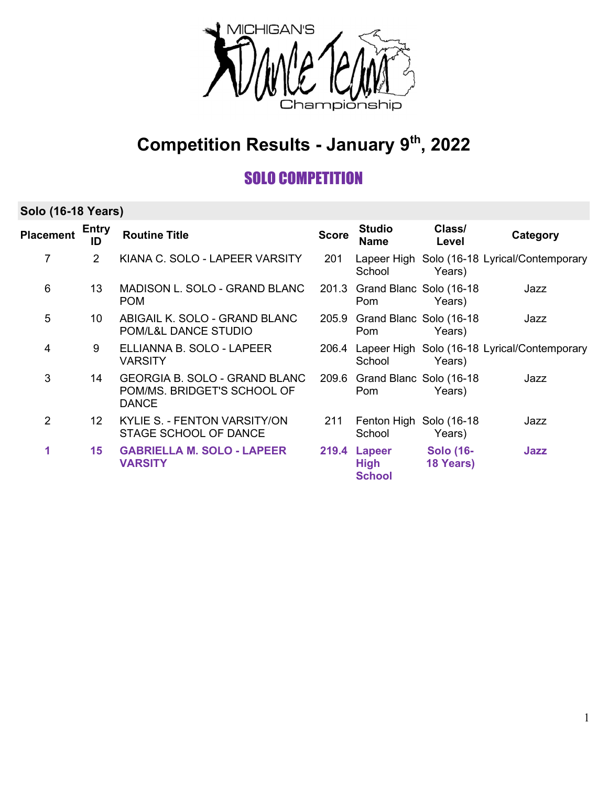

## Competition Results - January 9th, 2022

### SOLO COMPETITION

#### Solo (16-18 Years)

| <b>Placement</b> | <b>Entry</b><br>ID | <b>Routine Title</b>                                                                | <b>Score</b> | <b>Studio</b><br><b>Name</b>                 | Class/<br>Level               | Category                                           |
|------------------|--------------------|-------------------------------------------------------------------------------------|--------------|----------------------------------------------|-------------------------------|----------------------------------------------------|
| 7                | $\overline{2}$     | KIANA C. SOLO - LAPEER VARSITY                                                      | 201          | School                                       | Years)                        | Lapeer High Solo (16-18 Lyrical/Contemporary       |
| 6                | 13                 | MADISON L. SOLO - GRAND BLANC<br><b>POM</b>                                         |              | 201.3 Grand Blanc Solo (16-18)<br>Pom        | Years)                        | Jazz                                               |
| 5                | 10                 | ABIGAIL K. SOLO - GRAND BLANC<br>POM/L&L DANCE STUDIO                               |              | 205.9 Grand Blanc Solo (16-18)<br>Pom        | Years)                        | Jazz                                               |
| 4                | 9                  | ELLIANNA B. SOLO - LAPEER<br><b>VARSITY</b>                                         |              | School                                       | Years)                        | 206.4 Lapeer High Solo (16-18 Lyrical/Contemporary |
| 3                | 14                 | <b>GEORGIA B. SOLO - GRAND BLANC</b><br>POM/MS. BRIDGET'S SCHOOL OF<br><b>DANCE</b> |              | 209.6 Grand Blanc Solo (16-18)<br>Pom        | Years)                        | Jazz                                               |
| $\overline{2}$   | 12 <sup>2</sup>    | KYLIE S. - FENTON VARSITY/ON<br>STAGE SCHOOL OF DANCE                               | 211          | Fenton High<br>School                        | Solo (16-18)<br>Years)        | Jazz                                               |
| 1                | 15                 | <b>GABRIELLA M. SOLO - LAPEER</b><br><b>VARSITY</b>                                 |              | 219.4 Lapeer<br><b>High</b><br><b>School</b> | <b>Solo (16-</b><br>18 Years) | Jazz                                               |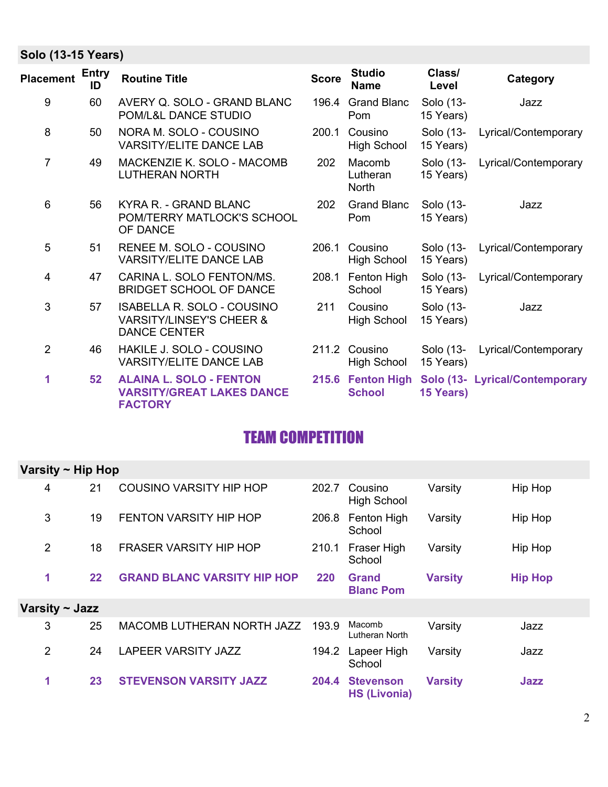#### Solo (13-15 Years)

| <b>Placement</b> | <b>Entry</b><br>ID | <b>Routine Title</b>                                                                            | <b>Score</b> | <b>Studio</b><br><b>Name</b>       | Class/<br>Level        | Category                       |
|------------------|--------------------|-------------------------------------------------------------------------------------------------|--------------|------------------------------------|------------------------|--------------------------------|
| $\boldsymbol{9}$ | 60                 | AVERY Q. SOLO - GRAND BLANC<br>POM/L&L DANCE STUDIO                                             | 196.4        | <b>Grand Blanc</b><br>Pom          | Solo (13-<br>15 Years) | Jazz                           |
| 8                | 50                 | NORA M. SOLO - COUSINO<br><b>VARSITY/ELITE DANCE LAB</b>                                        | 200.1        | Cousino<br><b>High School</b>      | Solo (13-<br>15 Years) | Lyrical/Contemporary           |
| $\overline{7}$   | 49                 | MACKENZIE K. SOLO - MACOMB<br><b>LUTHERAN NORTH</b>                                             | 202          | Macomb<br>Lutheran<br><b>North</b> | Solo (13-<br>15 Years) | Lyrical/Contemporary           |
| 6                | 56                 | KYRA R. - GRAND BLANC<br>POM/TERRY MATLOCK'S SCHOOL<br>OF DANCE                                 | 202          | <b>Grand Blanc</b><br>Pom          | Solo (13-<br>15 Years) | Jazz                           |
| 5                | 51                 | RENEE M. SOLO - COUSINO<br><b>VARSITY/ELITE DANCE LAB</b>                                       | 206.1        | Cousino<br><b>High School</b>      | Solo (13-<br>15 Years) | Lyrical/Contemporary           |
| 4                | 47                 | CARINA L. SOLO FENTON/MS.<br><b>BRIDGET SCHOOL OF DANCE</b>                                     | 208.1        | Fenton High<br>School              | Solo (13-<br>15 Years) | Lyrical/Contemporary           |
| 3                | 57                 | <b>ISABELLA R. SOLO - COUSINO</b><br><b>VARSITY/LINSEY'S CHEER &amp;</b><br><b>DANCE CENTER</b> | 211          | Cousino<br><b>High School</b>      | Solo (13-<br>15 Years) | Jazz                           |
| $\overline{2}$   | 46                 | HAKILE J. SOLO - COUSINO<br><b>VARSITY/ELITE DANCE LAB</b>                                      | 211.2        | Cousino<br>High School             | Solo (13-<br>15 Years) | Lyrical/Contemporary           |
| 1                | 52                 | <b>ALAINA L. SOLO - FENTON</b><br><b>VARSITY/GREAT LAKES DANCE</b><br><b>FACTORY</b>            |              | 215.6 Fenton High<br><b>School</b> | 15 Years)              | Solo (13- Lyrical/Contemporary |

## TEAM COMPETITION

| Varsity $\sim$ Hip Hop |         |                                    |       |                                         |                |                |  |
|------------------------|---------|------------------------------------|-------|-----------------------------------------|----------------|----------------|--|
| 4                      | 21      | COUSINO VARSITY HIP HOP            | 202.7 | Cousino<br><b>High School</b>           | Varsity        | Hip Hop        |  |
| 3                      | 19      | <b>FENTON VARSITY HIP HOP</b>      |       | 206.8 Fenton High<br>School             | Varsity        | Hip Hop        |  |
| $\overline{2}$         | 18      | <b>FRASER VARSITY HIP HOP</b>      | 210.1 | Fraser High<br>School                   | Varsity        | Hip Hop        |  |
| 1                      | $22 \,$ | <b>GRAND BLANC VARSITY HIP HOP</b> | 220   | <b>Grand</b><br><b>Blanc Pom</b>        | <b>Varsity</b> | <b>Hip Hop</b> |  |
| Varsity ~ Jazz         |         |                                    |       |                                         |                |                |  |
| 3                      | 25      | MACOMB LUTHERAN NORTH JAZZ         | 193.9 | Macomb<br>Lutheran North                | Varsity        | Jazz           |  |
| $\overline{2}$         | 24      | <b>LAPEER VARSITY JAZZ</b>         | 194.2 | Lapeer High<br>School                   | Varsity        | Jazz           |  |
| 1                      | 23      | <b>STEVENSON VARSITY JAZZ</b>      | 204.4 | <b>Stevenson</b><br><b>HS (Livonia)</b> | <b>Varsity</b> | Jazz           |  |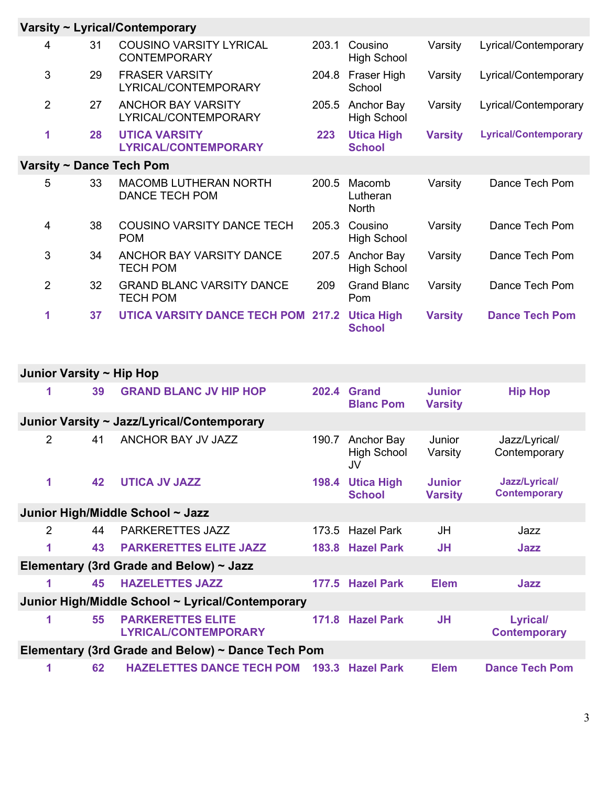|                          |    | Varsity ~ Lyrical/Contemporary                        |       |                                    |                |                             |  |  |
|--------------------------|----|-------------------------------------------------------|-------|------------------------------------|----------------|-----------------------------|--|--|
| 4                        | 31 | <b>COUSINO VARSITY LYRICAL</b><br><b>CONTEMPORARY</b> | 203.1 | Cousino<br><b>High School</b>      | Varsity        | Lyrical/Contemporary        |  |  |
| 3                        | 29 | <b>FRASER VARSITY</b><br>LYRICAL/CONTEMPORARY         | 204.8 | Fraser High<br>School              | Varsity        | Lyrical/Contemporary        |  |  |
| $\overline{2}$           | 27 | <b>ANCHOR BAY VARSITY</b><br>LYRICAL/CONTEMPORARY     | 205.5 | Anchor Bay<br><b>High School</b>   | Varsity        | Lyrical/Contemporary        |  |  |
| 1                        | 28 | <b>UTICA VARSITY</b><br><b>LYRICAL/CONTEMPORARY</b>   | 223   | <b>Utica High</b><br><b>School</b> | <b>Varsity</b> | <b>Lyrical/Contemporary</b> |  |  |
| Varsity ~ Dance Tech Pom |    |                                                       |       |                                    |                |                             |  |  |
| 5                        | 33 | <b>MACOMB LUTHERAN NORTH</b><br><b>DANCE TECH POM</b> | 200.5 | Macomb<br>Lutheran<br><b>North</b> | Varsity        | Dance Tech Pom              |  |  |
| 4                        | 38 | <b>COUSINO VARSITY DANCE TECH</b><br><b>POM</b>       | 205.3 | Cousino<br><b>High School</b>      | Varsity        | Dance Tech Pom              |  |  |
| 3                        | 34 | ANCHOR BAY VARSITY DANCE<br><b>TECH POM</b>           | 207.5 | Anchor Bay<br><b>High School</b>   | Varsity        | Dance Tech Pom              |  |  |
| 2                        | 32 | <b>GRAND BLANC VARSITY DANCE</b><br><b>TECH POM</b>   | 209   | <b>Grand Blanc</b><br>Pom          | Varsity        | Dance Tech Pom              |  |  |
| 1                        | 37 | <b>UTICA VARSITY DANCE TECH POM 217.2</b>             |       | <b>Utica High</b><br><b>School</b> | <b>Varsity</b> | <b>Dance Tech Pom</b>       |  |  |

| Junior Varsity ~ Hip Hop                          |    |                                                         |       |                                 |                                 |                                        |  |
|---------------------------------------------------|----|---------------------------------------------------------|-------|---------------------------------|---------------------------------|----------------------------------------|--|
| 1                                                 | 39 | <b>GRAND BLANC JV HIP HOP</b>                           |       | 202.4 Grand<br><b>Blanc Pom</b> | <b>Junior</b><br><b>Varsity</b> | <b>Hip Hop</b>                         |  |
|                                                   |    | Junior Varsity ~ Jazz/Lyrical/Contemporary              |       |                                 |                                 |                                        |  |
| 2                                                 | 41 | <b>ANCHOR BAY JV JAZZ</b>                               | 190.7 | Anchor Bay<br>High School<br>JV | Junior<br>Varsity               | Jazz/Lyrical/<br>Contemporary          |  |
| 1                                                 | 42 | <b>UTICA JV JAZZ</b>                                    | 198.4 | Utica High<br><b>School</b>     | <b>Junior</b><br><b>Varsity</b> | Jazz/Lyrical/<br><b>Contemporary</b>   |  |
| Junior High/Middle School ~ Jazz                  |    |                                                         |       |                                 |                                 |                                        |  |
| 2                                                 | 44 | <b>PARKERETTES JAZZ</b>                                 |       | 173.5 Hazel Park                | JH                              | Jazz                                   |  |
| 1                                                 | 43 | <b>PARKERETTES ELITE JAZZ</b>                           |       | 183.8 Hazel Park                | <b>JH</b>                       | Jazz                                   |  |
|                                                   |    | Elementary (3rd Grade and Below) $\sim$ Jazz            |       |                                 |                                 |                                        |  |
| 1                                                 | 45 | <b>HAZELETTES JAZZ</b>                                  |       | 177.5 Hazel Park                | <b>Elem</b>                     | Jazz                                   |  |
| Junior High/Middle School ~ Lyrical/Contemporary  |    |                                                         |       |                                 |                                 |                                        |  |
| 1                                                 | 55 | <b>PARKERETTES ELITE</b><br><b>LYRICAL/CONTEMPORARY</b> | 171.8 | <b>Hazel Park</b>               | <b>JH</b>                       | <b>Lyrical/</b><br><b>Contemporary</b> |  |
| Elementary (3rd Grade and Below) ~ Dance Tech Pom |    |                                                         |       |                                 |                                 |                                        |  |
| 1                                                 | 62 | <b>HAZELETTES DANCE TECH POM</b>                        | 193.3 | <b>Hazel Park</b>               | <b>Elem</b>                     | <b>Dance Tech Pom</b>                  |  |